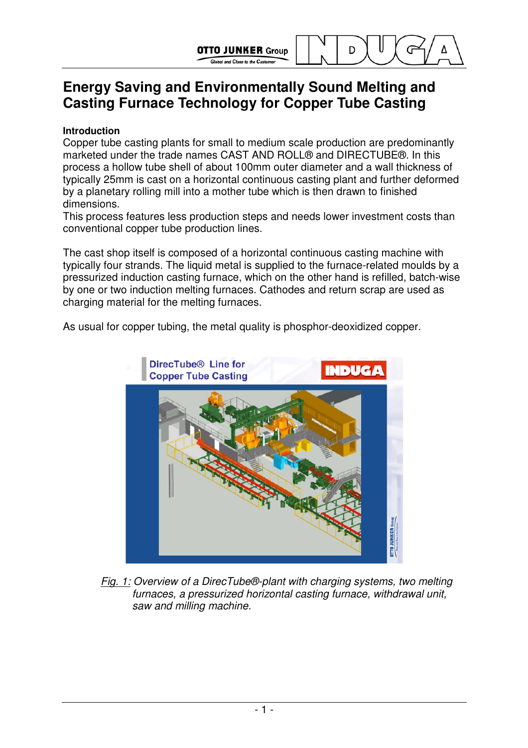Global and Close to the Custo

D

# **Energy Saving and Environmentally Sound Melting and Casting Furnace Technology for Copper Tube Casting**

## **Introduction**

Copper tube casting plants for small to medium scale production are predominantly marketed under the trade names CAST AND ROLL® and DIRECTUBE®. In this process a hollow tube shell of about 100mm outer diameter and a wall thickness of typically 25mm is cast on a horizontal continuous casting plant and further deformed by a planetary rolling mill into a mother tube which is then drawn to finished dimensions.

This process features less production steps and needs lower investment costs than conventional copper tube production lines.

The cast shop itself is composed of a horizontal continuous casting machine with typically four strands. The liquid metal is supplied to the furnace-related moulds by a pressurized induction casting furnace, which on the other hand is refilled, batch-wise by one or two induction melting furnaces. Cathodes and return scrap are used as charging material for the melting furnaces.

As usual for copper tubing, the metal quality is phosphor-deoxidized copper.



Fig. 1: Overview of a DirecTube®-plant with charging systems, two melting furnaces, a pressurized horizontal casting furnace, withdrawal unit, saw and milling machine.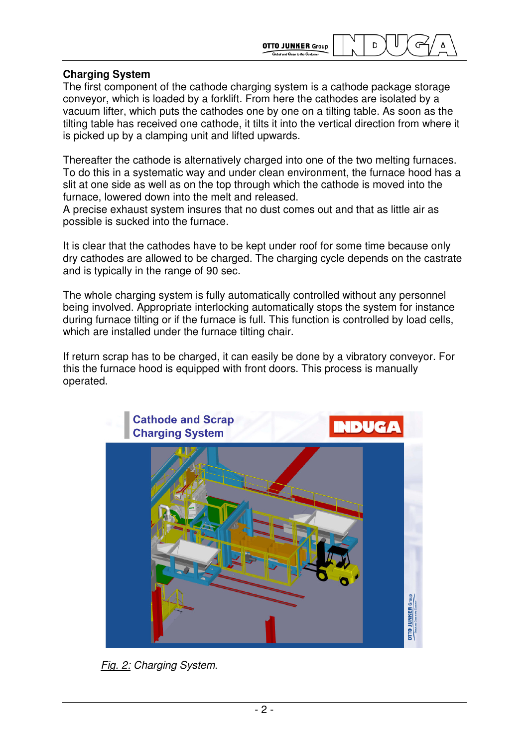**OTTO JUNKER Group** 

D

### **Charging System**

The first component of the cathode charging system is a cathode package storage conveyor, which is loaded by a forklift. From here the cathodes are isolated by a vacuum lifter, which puts the cathodes one by one on a tilting table. As soon as the tilting table has received one cathode, it tilts it into the vertical direction from where it is picked up by a clamping unit and lifted upwards.

Thereafter the cathode is alternatively charged into one of the two melting furnaces. To do this in a systematic way and under clean environment, the furnace hood has a slit at one side as well as on the top through which the cathode is moved into the furnace, lowered down into the melt and released.

A precise exhaust system insures that no dust comes out and that as little air as possible is sucked into the furnace.

It is clear that the cathodes have to be kept under roof for some time because only dry cathodes are allowed to be charged. The charging cycle depends on the castrate and is typically in the range of 90 sec.

The whole charging system is fully automatically controlled without any personnel being involved. Appropriate interlocking automatically stops the system for instance during furnace tilting or if the furnace is full. This function is controlled by load cells, which are installed under the furnace tilting chair.

If return scrap has to be charged, it can easily be done by a vibratory conveyor. For this the furnace hood is equipped with front doors. This process is manually operated.



Fig. 2: Charging System.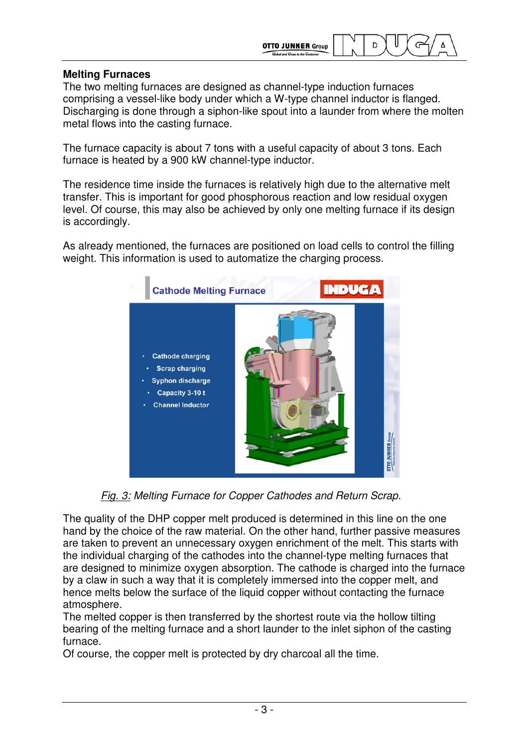

## **Melting Furnaces**

The two melting furnaces are designed as channel-type induction furnaces comprising a vessel-like body under which a W-type channel inductor is flanged. Discharging is done through a siphon-like spout into a launder from where the molten metal flows into the casting furnace.

The furnace capacity is about 7 tons with a useful capacity of about 3 tons. Each furnace is heated by a 900 kW channel-type inductor.

The residence time inside the furnaces is relatively high due to the alternative melt transfer. This is important for good phosphorous reaction and low residual oxygen level. Of course, this may also be achieved by only one melting furnace if its design is accordingly.

As already mentioned, the furnaces are positioned on load cells to control the filling weight. This information is used to automatize the charging process.



Fig. 3: Melting Furnace for Copper Cathodes and Return Scrap.

The quality of the DHP copper melt produced is determined in this line on the one hand by the choice of the raw material. On the other hand, further passive measures are taken to prevent an unnecessary oxygen enrichment of the melt. This starts with the individual charging of the cathodes into the channel-type melting furnaces that are designed to minimize oxygen absorption. The cathode is charged into the furnace by a claw in such a way that it is completely immersed into the copper melt, and hence melts below the surface of the liquid copper without contacting the furnace atmosphere.

The melted copper is then transferred by the shortest route via the hollow tilting bearing of the melting furnace and a short launder to the inlet siphon of the casting furnace.

Of course, the copper melt is protected by dry charcoal all the time.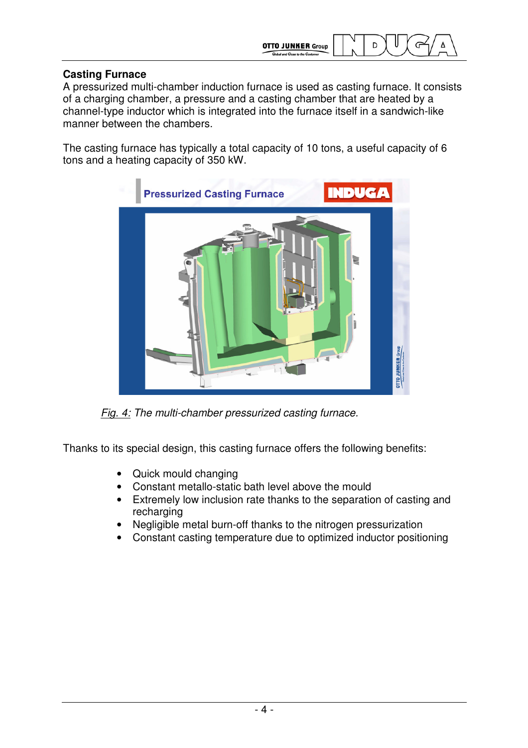

## **Casting Furnace**

A pressurized multi-chamber induction furnace is used as casting furnace. It consists of a charging chamber, a pressure and a casting chamber that are heated by a channel-type inductor which is integrated into the furnace itself in a sandwich-like manner between the chambers.

The casting furnace has typically a total capacity of 10 tons, a useful capacity of 6 tons and a heating capacity of 350 kW.



Fig. 4: The multi-chamber pressurized casting furnace.

Thanks to its special design, this casting furnace offers the following benefits:

- Quick mould changing
- Constant metallo-static bath level above the mould
- Extremely low inclusion rate thanks to the separation of casting and recharging
- Negligible metal burn-off thanks to the nitrogen pressurization
- Constant casting temperature due to optimized inductor positioning